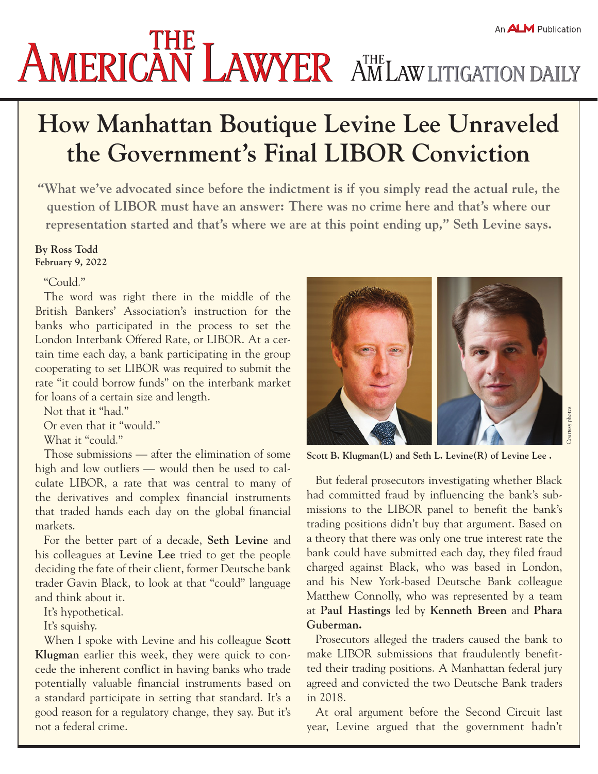## **AMERICAN LAWYER AMLAW LITIGATION DAILY**

## **How Manhattan Boutique Levine Lee Unraveled the Government's Final LIBOR Conviction**

**"What we've advocated since before the indictment is if you simply read the actual rule, the question of LIBOR must have an answer: There was no crime here and that's where our representation started and that's where we are at this point ending up," Seth Levine says.**

## **By Ross Todd**

**February 9, 2022**

"Could."

The word was right there in the middle of the British Bankers' Association's instruction for the banks who participated in the process to set the London Interbank Offered Rate, or LIBOR. At a certain time each day, a bank participating in the group cooperating to set LIBOR was required to submit the rate "it could borrow funds" on the interbank market for loans of a certain size and length.

Not that it "had."

Or even that it "would."

What it "could."

Those submissions — after the elimination of some high and low outliers — would then be used to calculate LIBOR, a rate that was central to many of the derivatives and complex financial instruments that traded hands each day on the global financial markets.

For the better part of a decade, **Seth Levine** and his colleagues at **Levine Lee** tried to get the people deciding the fate of their client, former Deutsche bank trader Gavin Black, to look at that "could" language and think about it.

It's hypothetical.

It's squishy.

When I spoke with Levine and his colleague **Scott Klugman** earlier this week, they were quick to concede the inherent conflict in having banks who trade potentially valuable financial instruments based on a standard participate in setting that standard. It's a good reason for a regulatory change, they say. But it's not a federal crime.



**Scott B. Klugman(L) and Seth L. Levine(R) of Levine Lee .**

But federal prosecutors investigating whether Black had committed fraud by influencing the bank's submissions to the LIBOR panel to benefit the bank's trading positions didn't buy that argument. Based on a theory that there was only one true interest rate the bank could have submitted each day, they filed fraud charged against Black, who was based in London, and his New York-based Deutsche Bank colleague Matthew Connolly, who was represented by a team at **Paul Hastings** led by **Kenneth Breen** and **Phara Guberman.**

Prosecutors alleged the traders caused the bank to make LIBOR submissions that fraudulently benefitted their trading positions. A Manhattan federal jury agreed and convicted the two Deutsche Bank traders in 2018.

At oral argument before the Second Circuit last year, Levine argued that the government hadn't